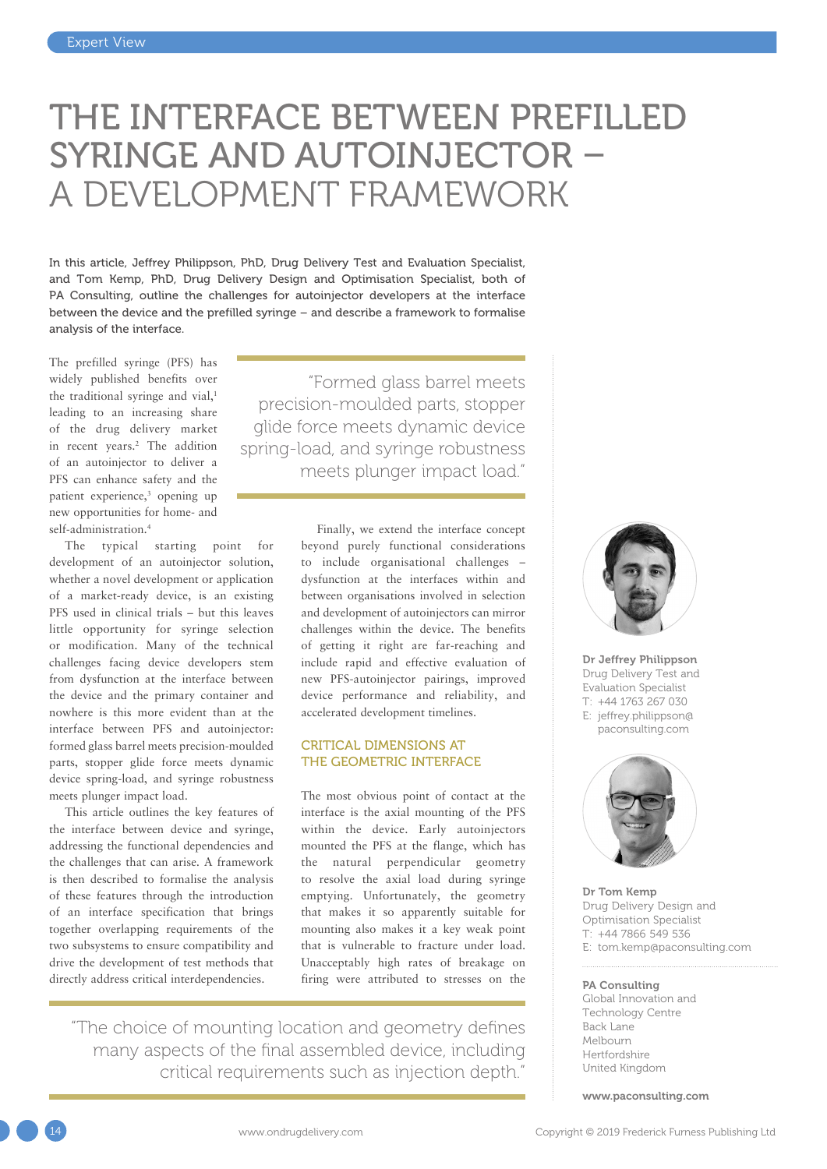# THE INTERFACE BETWEEN PREFILLED SYRINGE AND AUTOINJECTOR – A DEVELOPMENT FRAMEWORK

In this article, Jeffrey Philippson, PhD, Drug Delivery Test and Evaluation Specialist, and Tom Kemp, PhD, Drug Delivery Design and Optimisation Specialist, both of PA Consulting, outline the challenges for autoinjector developers at the interface between the device and the prefilled syringe – and describe a framework to formalise analysis of the interface.

The prefilled syringe (PFS) has widely published benefits over the traditional syringe and vial,<sup>1</sup> leading to an increasing share of the drug delivery market in recent years.2 The addition of an autoinjector to deliver a PFS can enhance safety and the patient experience,<sup>3</sup> opening up new opportunities for home- and self-administration.<sup>4</sup>

The typical starting point for development of an autoinjector solution, whether a novel development or application of a market-ready device, is an existing PFS used in clinical trials – but this leaves little opportunity for syringe selection or modification. Many of the technical challenges facing device developers stem from dysfunction at the interface between the device and the primary container and nowhere is this more evident than at the interface between PFS and autoinjector: formed glass barrel meets precision-moulded parts, stopper glide force meets dynamic device spring-load, and syringe robustness meets plunger impact load.

This article outlines the key features of the interface between device and syringe, addressing the functional dependencies and the challenges that can arise. A framework is then described to formalise the analysis of these features through the introduction of an interface specification that brings together overlapping requirements of the two subsystems to ensure compatibility and drive the development of test methods that directly address critical interdependencies.

"Formed glass barrel meets precision-moulded parts, stopper glide force meets dynamic device spring-load, and syringe robustness meets plunger impact load."

> Finally, we extend the interface concept beyond purely functional considerations to include organisational challenges – dysfunction at the interfaces within and between organisations involved in selection and development of autoinjectors can mirror challenges within the device. The benefits of getting it right are far-reaching and include rapid and effective evaluation of new PFS-autoinjector pairings, improved device performance and reliability, and accelerated development timelines.

# CRITICAL DIMENSIONS AT THE GEOMETRIC INTERFACE

The most obvious point of contact at the interface is the axial mounting of the PFS within the device. Early autoinjectors mounted the PFS at the flange, which has the natural perpendicular geometry to resolve the axial load during syringe emptying. Unfortunately, the geometry that makes it so apparently suitable for mounting also makes it a key weak point that is vulnerable to fracture under load. Unacceptably high rates of breakage on firing were attributed to stresses on the

"The choice of mounting location and geometry defines many aspects of the final assembled device, including critical requirements such as injection depth."



Dr Jeffrey Philippson Drug Delivery Test and Evaluation Specialist T: +44 1763 267 030 E: [jeffrey.philippson@](mailto:jeffrey.philippson%40paconsulting.com?subject=) [paconsulting.com](mailto:jeffrey.philippson%40paconsulting.com?subject=)



Dr Tom Kemp Drug Delivery Design and Optimisation Specialist T: +44 7866 549 536 E: [tom.kemp@paconsulting.com](mailto:tom.kemp@paconsulting.com)

#### PA Consulting

Global Innovation and Technology Centre Back Lane Melbourn Hertfordshire United Kingdom

[www.paconsulting.com](http://www.paconsulting.com)

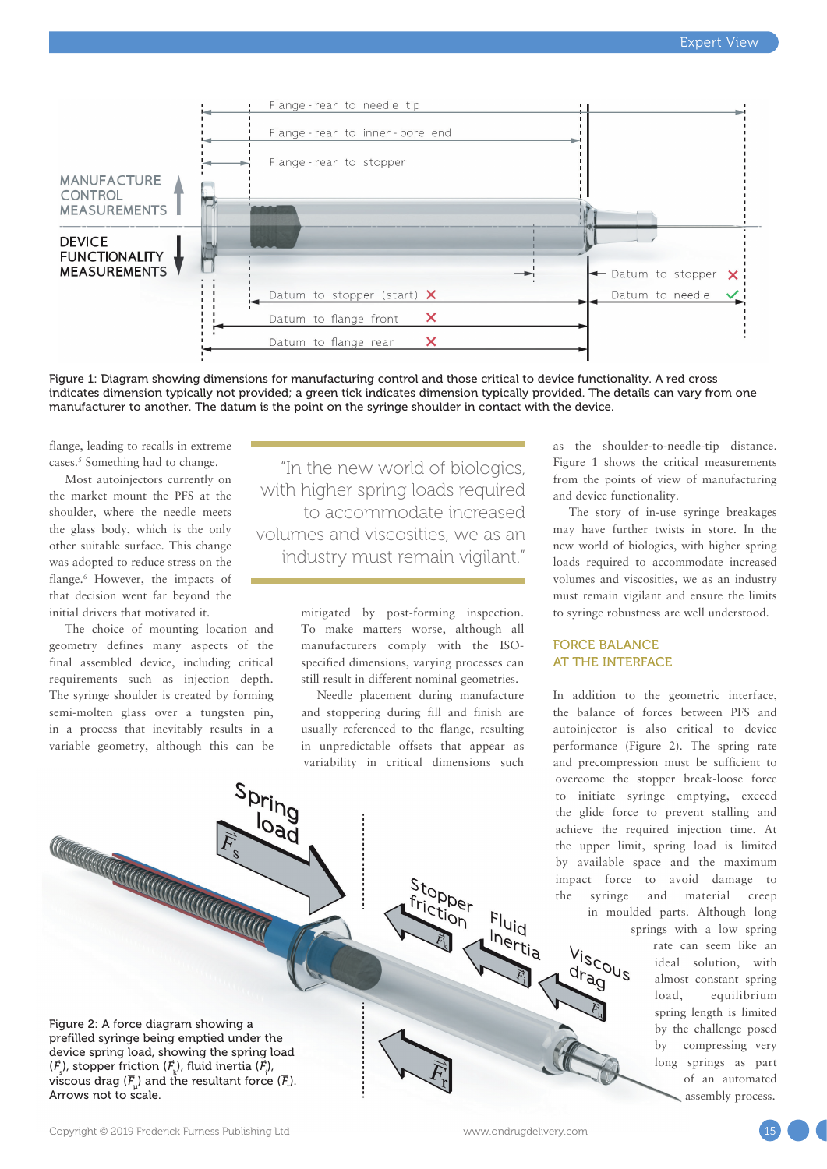

Figure 1: Diagram showing dimensions for manufacturing control and those critical to device functionality. A red cross indicates dimension typically not provided; a green tick indicates dimension typically provided. The details can vary from one manufacturer to another. The datum is the point on the syringe shoulder in contact with the device.

flange, leading to recalls in extreme cases.5 Something had to change.

Most autoinjectors currently on the market mount the PFS at the shoulder, where the needle meets the glass body, which is the only other suitable surface. This change was adopted to reduce stress on the flange.6 However, the impacts of that decision went far beyond the initial drivers that motivated it.

The choice of mounting location and geometry defines many aspects of the final assembled device, including critical requirements such as injection depth. The syringe shoulder is created by forming semi-molten glass over a tungsten pin, in a process that inevitably results in a variable geometry, although this can be

CONTRACTOR CONTRACTOR ES

 $S<sub>Dripg</sub>$ 

**Durid**<br>**Dad** 

"In the new world of biologics, with higher spring loads required to accommodate increased volumes and viscosities, we as an industry must remain vigilant."

> mitigated by post-forming inspection. To make matters worse, although all manufacturers comply with the ISOspecified dimensions, varying processes can still result in different nominal geometries.

> Needle placement during manufacture and stoppering during fill and finish are usually referenced to the flange, resulting in unpredictable offsets that appear as variability in critical dimensions such

> > Stopper<br>frictio friction

as the shoulder-to-needle-tip distance. Figure 1 shows the critical measurements from the points of view of manufacturing and device functionality.

The story of in-use syringe breakages may have further twists in store. In the new world of biologics, with higher spring loads required to accommodate increased volumes and viscosities, we as an industry must remain vigilant and ensure the limits to syringe robustness are well understood.

# FORCE BALANCE AT THE INTERFACE

Viscous<br>dranus drag

In addition to the geometric interface, the balance of forces between PFS and autoinjector is also critical to device performance (Figure 2). The spring rate and precompression must be sufficient to overcome the stopper break-loose force to initiate syringe emptying, exceed the glide force to prevent stalling and achieve the required injection time. At the upper limit, spring load is limited by available space and the maximum impact force to avoid damage to the syringe and material creep in moulded parts. Although long

> springs with a low spring rate can seem like an ideal solution, with almost constant spring load, equilibrium spring length is limited by the challenge posed by compressing very long springs as part of an automated sembly process.

Figure 2: A force diagram showing a prefilled syringe being emptied under the device spring load, showing the spring load  $(\overline{F}_{\rm s})$ , stopper friction  $(\overline{F}_{\rm k})$ , fluid inertia  $(\overline{F}_{\rm k})$ , viscous drag ( $\overline{\mathcal{F}}_{\!\scriptscriptstyle\mu}$ ) and the resultant force ( $\overline{\mathcal{F}}_{\!\scriptscriptstyle\mu}$ ). Arrows not to scale.

 $\frac{1}{2}$ <br> $\frac{1}{2}$ Inertia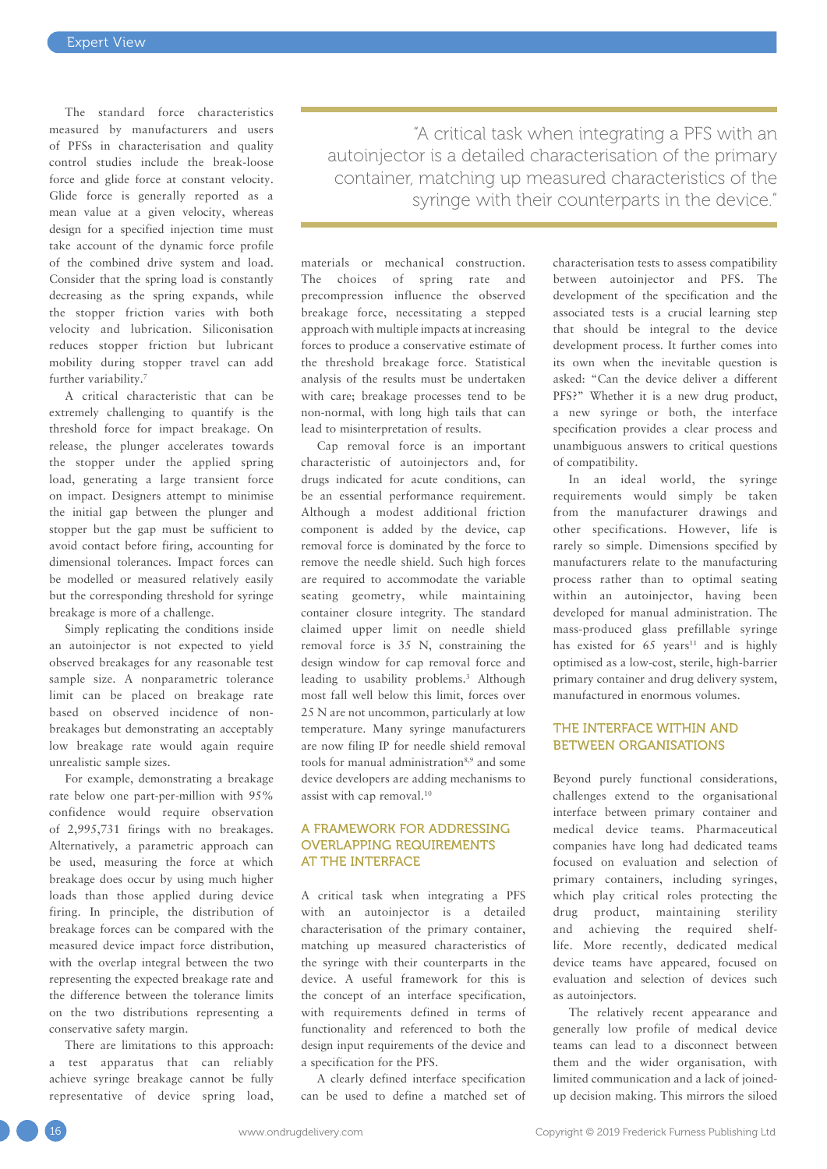The standard force characteristics measured by manufacturers and users of PFSs in characterisation and quality control studies include the break-loose force and glide force at constant velocity. Glide force is generally reported as a mean value at a given velocity, whereas design for a specified injection time must take account of the dynamic force profile of the combined drive system and load. Consider that the spring load is constantly decreasing as the spring expands, while the stopper friction varies with both velocity and lubrication. Siliconisation reduces stopper friction but lubricant mobility during stopper travel can add further variability.7

A critical characteristic that can be extremely challenging to quantify is the threshold force for impact breakage. On release, the plunger accelerates towards the stopper under the applied spring load, generating a large transient force on impact. Designers attempt to minimise the initial gap between the plunger and stopper but the gap must be sufficient to avoid contact before firing, accounting for dimensional tolerances. Impact forces can be modelled or measured relatively easily but the corresponding threshold for syringe breakage is more of a challenge.

Simply replicating the conditions inside an autoinjector is not expected to yield observed breakages for any reasonable test sample size. A nonparametric tolerance limit can be placed on breakage rate based on observed incidence of nonbreakages but demonstrating an acceptably low breakage rate would again require unrealistic sample sizes.

For example, demonstrating a breakage rate below one part-per-million with 95% confidence would require observation of 2,995,731 firings with no breakages. Alternatively, a parametric approach can be used, measuring the force at which breakage does occur by using much higher loads than those applied during device firing. In principle, the distribution of breakage forces can be compared with the measured device impact force distribution, with the overlap integral between the two representing the expected breakage rate and the difference between the tolerance limits on the two distributions representing a conservative safety margin.

There are limitations to this approach: a test apparatus that can reliably achieve syringe breakage cannot be fully representative of device spring load,

"A critical task when integrating a PFS with an autoinjector is a detailed characterisation of the primary container, matching up measured characteristics of the syringe with their counterparts in the device."

materials or mechanical construction. The choices of spring rate and precompression influence the observed breakage force, necessitating a stepped approach with multiple impacts at increasing forces to produce a conservative estimate of the threshold breakage force. Statistical analysis of the results must be undertaken with care; breakage processes tend to be non-normal, with long high tails that can lead to misinterpretation of results.

Cap removal force is an important characteristic of autoinjectors and, for drugs indicated for acute conditions, can be an essential performance requirement. Although a modest additional friction component is added by the device, cap removal force is dominated by the force to remove the needle shield. Such high forces are required to accommodate the variable seating geometry, while maintaining container closure integrity. The standard claimed upper limit on needle shield removal force is 35 N, constraining the design window for cap removal force and leading to usability problems.<sup>3</sup> Although most fall well below this limit, forces over 25 N are not uncommon, particularly at low temperature. Many syringe manufacturers are now filing IP for needle shield removal tools for manual administration<sup>8,9</sup> and some device developers are adding mechanisms to assist with cap removal.<sup>10</sup>

# A FRAMEWORK FOR ADDRESSING OVERLAPPING REQUIREMENTS AT THE INTERFACE

A critical task when integrating a PFS with an autoinjector is a detailed characterisation of the primary container, matching up measured characteristics of the syringe with their counterparts in the device. A useful framework for this is the concept of an interface specification, with requirements defined in terms of functionality and referenced to both the design input requirements of the device and a specification for the PFS.

A clearly defined interface specification can be used to define a matched set of characterisation tests to assess compatibility between autoinjector and PFS. The development of the specification and the associated tests is a crucial learning step that should be integral to the device development process. It further comes into its own when the inevitable question is asked: "Can the device deliver a different PFS?" Whether it is a new drug product, a new syringe or both, the interface specification provides a clear process and unambiguous answers to critical questions of compatibility.

In an ideal world, the syringe requirements would simply be taken from the manufacturer drawings and other specifications. However, life is rarely so simple. Dimensions specified by manufacturers relate to the manufacturing process rather than to optimal seating within an autoinjector, having been developed for manual administration. The mass-produced glass prefillable syringe has existed for  $65$  years<sup>11</sup> and is highly optimised as a low-cost, sterile, high-barrier primary container and drug delivery system, manufactured in enormous volumes.

#### THE INTERFACE WITHIN AND BETWEEN ORGANISATIONS

Beyond purely functional considerations, challenges extend to the organisational interface between primary container and medical device teams. Pharmaceutical companies have long had dedicated teams focused on evaluation and selection of primary containers, including syringes, which play critical roles protecting the drug product, maintaining sterility and achieving the required shelflife. More recently, dedicated medical device teams have appeared, focused on evaluation and selection of devices such as autoinjectors.

The relatively recent appearance and generally low profile of medical device teams can lead to a disconnect between them and the wider organisation, with limited communication and a lack of joinedup decision making. This mirrors the siloed